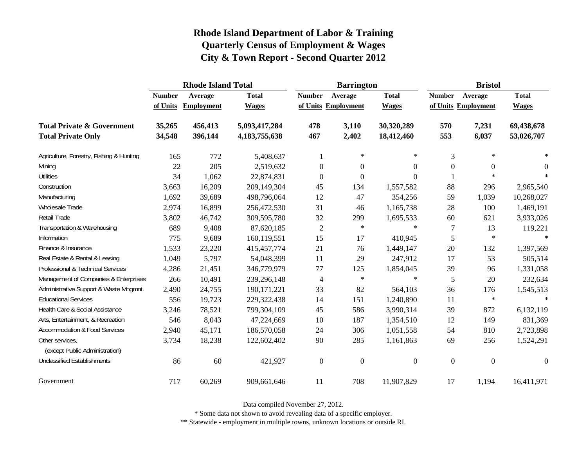|                                                   |               | <b>Rhode Island Total</b> |               |                  | <b>Barrington</b>   |                  | <b>Bristol</b>      |                  |                  |  |
|---------------------------------------------------|---------------|---------------------------|---------------|------------------|---------------------|------------------|---------------------|------------------|------------------|--|
|                                                   | <b>Number</b> | Average                   | <b>Total</b>  | <b>Number</b>    | Average             | <b>Total</b>     | <b>Number</b>       | Average          | <b>Total</b>     |  |
|                                                   | of Units      | <b>Employment</b>         | <b>Wages</b>  |                  | of Units Employment | <b>Wages</b>     | of Units Employment |                  | <b>Wages</b>     |  |
| <b>Total Private &amp; Government</b>             | 35,265        | 456,413                   | 5,093,417,284 | 478              | 3,110               | 30,320,289       | 570                 | 7,231            | 69,438,678       |  |
| <b>Total Private Only</b>                         | 34,548        | 396,144                   | 4,183,755,638 | 467              | 2,402               | 18,412,460       | 553                 | 6,037            | 53,026,707       |  |
| Agriculture, Forestry, Fishing & Hunting          | 165           | 772                       | 5,408,637     | 1                | $\ast$              | $\ast$           | 3                   | $\ast$           | $\ast$           |  |
| Mining                                            | 22            | 205                       | 2,519,632     | $\overline{0}$   | $\theta$            | 0                | $\overline{0}$      | 0                | $\theta$         |  |
| <b>Utilities</b>                                  | 34            | 1,062                     | 22,874,831    | $\mathbf{0}$     | $\boldsymbol{0}$    | 0                |                     | $\ast$           | $\ast$           |  |
| Construction                                      | 3,663         | 16,209                    | 209,149,304   | 45               | 134                 | 1,557,582        | 88                  | 296              | 2,965,540        |  |
| Manufacturing                                     | 1,692         | 39,689                    | 498,796,064   | 12               | 47                  | 354,256          | 59                  | 1,039            | 10,268,027       |  |
| Wholesale Trade                                   | 2,974         | 16,899                    | 256,472,530   | 31               | 46                  | 1,165,738        | 28                  | 100              | 1,469,191        |  |
| Retail Trade                                      | 3,802         | 46,742                    | 309,595,780   | 32               | 299                 | 1,695,533        | 60                  | 621              | 3,933,026        |  |
| Transportation & Warehousing                      | 689           | 9,408                     | 87,620,185    | $\sqrt{2}$       | $\ast$              | $\star$          | $\tau$              | 13               | 119,221          |  |
| Information                                       | 775           | 9,689                     | 160,119,551   | 15               | 17                  | 410,945          | 5                   | $\ast$           | $\ast$           |  |
| Finance & Insurance                               | 1,533         | 23,220                    | 415, 457, 774 | 21               | 76                  | 1,449,147        | 20                  | 132              | 1,397,569        |  |
| Real Estate & Rental & Leasing                    | 1,049         | 5,797                     | 54,048,399    | 11               | 29                  | 247,912          | 17                  | 53               | 505,514          |  |
| Professional & Technical Services                 | 4,286         | 21,451                    | 346,779,979   | $77 \,$          | 125                 | 1,854,045        | 39                  | 96               | 1,331,058        |  |
| Management of Companies & Enterprises             | 266           | 10,491                    | 239,296,148   | 4                | $\ast$              | $\ast$           | 5                   | 20               | 232,634          |  |
| Administrative Support & Waste Mngmnt.            | 2,490         | 24,755                    | 190, 171, 221 | 33               | 82                  | 564,103          | 36                  | 176              | 1,545,513        |  |
| <b>Educational Services</b>                       | 556           | 19,723                    | 229,322,438   | 14               | 151                 | 1,240,890        | 11                  | $\ast$           | $\ast$           |  |
| Health Care & Social Assistance                   | 3,246         | 78,521                    | 799,304,109   | 45               | 586                 | 3,990,314        | 39                  | 872              | 6,132,119        |  |
| Arts, Entertainment, & Recreation                 | 546           | 8,043                     | 47,224,669    | 10               | 187                 | 1,354,510        | 12                  | 149              | 831,369          |  |
| <b>Accommodation &amp; Food Services</b>          | 2,940         | 45,171                    | 186,570,058   | 24               | 306                 | 1,051,558        | 54                  | 810              | 2,723,898        |  |
| Other services,<br>(except Public Administration) | 3,734         | 18,238                    | 122,602,402   | 90               | 285                 | 1,161,863        | 69                  | 256              | 1,524,291        |  |
| <b>Unclassified Establishments</b>                | 86            | 60                        | 421,927       | $\boldsymbol{0}$ | $\boldsymbol{0}$    | $\boldsymbol{0}$ | $\boldsymbol{0}$    | $\boldsymbol{0}$ | $\boldsymbol{0}$ |  |
| Government                                        | 717           | 60,269                    | 909,661,646   | 11               | 708                 | 11,907,829       | 17                  | 1,194            | 16,411,971       |  |

Data compiled November 27, 2012.

\* Some data not shown to avoid revealing data of a specific employer.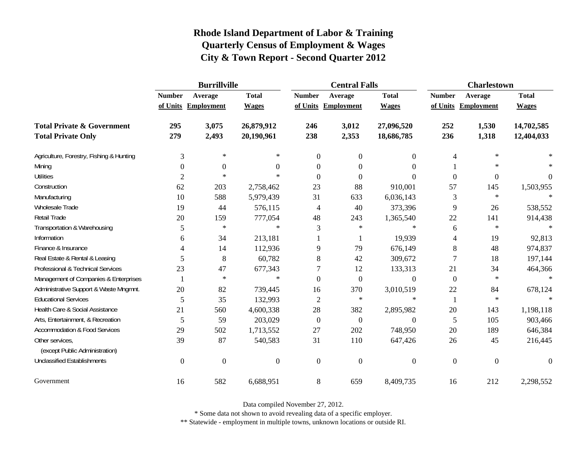|                                                   | <b>Burrillville</b> |                     |                |                | <b>Central Falls</b> |                  | <b>Charlestown</b> |                     |              |
|---------------------------------------------------|---------------------|---------------------|----------------|----------------|----------------------|------------------|--------------------|---------------------|--------------|
|                                                   | <b>Number</b>       | Average             | <b>Total</b>   | <b>Number</b>  | Average              | <b>Total</b>     | <b>Number</b>      | Average             | <b>Total</b> |
|                                                   |                     | of Units Employment | <b>Wages</b>   |                | of Units Employment  | <b>Wages</b>     |                    | of Units Employment | <b>Wages</b> |
| <b>Total Private &amp; Government</b>             | 295                 | 3,075               | 26,879,912     | 246            | 3,012                | 27,096,520       | 252                | 1,530               | 14,702,585   |
| <b>Total Private Only</b>                         | 279                 | 2,493               | 20,190,961     | 238            | 2,353                | 18,686,785       | 236                | 1,318               | 12,404,033   |
| Agriculture, Forestry, Fishing & Hunting          | 3                   | $\ast$              | $\ast$         | $\overline{0}$ | $\mathbf{0}$         | $\overline{0}$   | 4                  | $\ast$              |              |
| Mining                                            | $\theta$            | $\boldsymbol{0}$    | $\Omega$       | $\Omega$       | $\theta$             | $\Omega$         |                    | $\ast$              |              |
| <b>Utilities</b>                                  | $\overline{c}$      | $\ast$              | $\ast$         | $\Omega$       | $\Omega$             | $\Omega$         | $\boldsymbol{0}$   | $\boldsymbol{0}$    | $\Omega$     |
| Construction                                      | 62                  | 203                 | 2,758,462      | 23             | 88                   | 910,001          | 57                 | 145                 | 1,503,955    |
| Manufacturing                                     | 10                  | 588                 | 5,979,439      | 31             | 633                  | 6,036,143        | 3                  | $\ast$              |              |
| Wholesale Trade                                   | 19                  | 44                  | 576,115        | 4              | 40                   | 373,396          | 9                  | 26                  | 538,552      |
| Retail Trade                                      | 20                  | 159                 | 777,054        | 48             | 243                  | 1,365,540        | 22                 | 141                 | 914,438      |
| Transportation & Warehousing                      | 5                   | $\ast$              | $\ast$         | 3              | $\ast$               | $\ast$           | 6                  | $\ast$              | $\ast$       |
| Information                                       | 6                   | 34                  | 213,181        |                | 1                    | 19,939           | 4                  | 19                  | 92,813       |
| Finance & Insurance                               | 4                   | 14                  | 112,936        | 9              | 79                   | 676,149          | 8                  | 48                  | 974,837      |
| Real Estate & Rental & Leasing                    | 5                   | 8                   | 60,782         | 8              | 42                   | 309,672          | 7                  | 18                  | 197,144      |
| Professional & Technical Services                 | 23                  | 47                  | 677,343        |                | 12                   | 133,313          | 21                 | 34                  | 464,366      |
| Management of Companies & Enterprises             | $\mathbf{1}$        | $\ast$              | $\ast$         | $\Omega$       | $\overline{0}$       | $\theta$         | $\mathbf{0}$       | $\ast$              | $\ast$       |
| Administrative Support & Waste Mngmnt.            | 20                  | 82                  | 739,445        | 16             | 370                  | 3,010,519        | 22                 | 84                  | 678,124      |
| <b>Educational Services</b>                       | 5                   | 35                  | 132,993        | 2              | $\ast$               | $\ast$           | 1                  | $\ast$              |              |
| Health Care & Social Assistance                   | 21                  | 560                 | 4,600,338      | 28             | 382                  | 2,895,982        | 20                 | 143                 | 1,198,118    |
| Arts, Entertainment, & Recreation                 | 5                   | 59                  | 203,029        | $\mathbf{0}$   | $\overline{0}$       | $\boldsymbol{0}$ | 5                  | 105                 | 903,466      |
| <b>Accommodation &amp; Food Services</b>          | 29                  | 502                 | 1,713,552      | 27             | 202                  | 748,950          | 20                 | 189                 | 646,384      |
| Other services,<br>(except Public Administration) | 39                  | 87                  | 540,583        | 31             | 110                  | 647,426          | 26                 | 45                  | 216,445      |
| <b>Unclassified Establishments</b>                | $\boldsymbol{0}$    | $\boldsymbol{0}$    | $\overline{0}$ | $\overline{0}$ | $\mathbf{0}$         | $\boldsymbol{0}$ | $\boldsymbol{0}$   | $\boldsymbol{0}$    | $\theta$     |
| Government                                        | 16                  | 582                 | 6,688,951      | 8              | 659                  | 8,409,735        | 16                 | 212                 | 2,298,552    |

Data compiled November 27, 2012.

\* Some data not shown to avoid revealing data of a specific employer.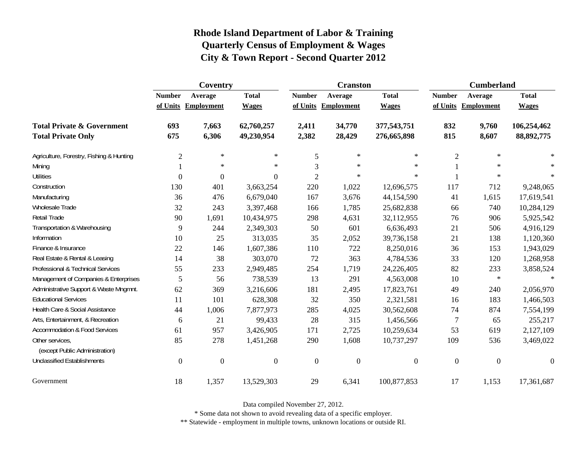|                                                   | Coventry         |                     |                |                  | <b>Cranston</b>     |                  | <b>Cumberland</b> |                     |                  |
|---------------------------------------------------|------------------|---------------------|----------------|------------------|---------------------|------------------|-------------------|---------------------|------------------|
|                                                   | <b>Number</b>    | Average             | <b>Total</b>   | <b>Number</b>    | Average             | <b>Total</b>     | <b>Number</b>     | Average             | <b>Total</b>     |
|                                                   |                  | of Units Employment | <b>Wages</b>   |                  | of Units Employment | <b>Wages</b>     |                   | of Units Employment | <b>Wages</b>     |
| <b>Total Private &amp; Government</b>             | 693              | 7,663               | 62,760,257     | 2,411            | 34,770              | 377,543,751      | 832               | 9,760               | 106,254,462      |
| <b>Total Private Only</b>                         | 675              | 6,306               | 49,230,954     | 2,382            | 28,429              | 276,665,898      | 815               | 8,607               | 88, 892, 775     |
| Agriculture, Forestry, Fishing & Hunting          | $\overline{2}$   | $\ast$              | $\ast$         | 5                | $\ast$              | $\ast$           | $\overline{2}$    | $\ast$              |                  |
| Mining                                            |                  | $\ast$              | $\ast$         | 3                | $\ast$              | $\ast$           |                   | $\ast$              | $\ast$           |
| <b>Utilities</b>                                  | $\mathbf{0}$     | $\boldsymbol{0}$    | $\overline{0}$ | $\overline{c}$   | $\ast$              | $\ast$           |                   | $\ast$              | $\ast$           |
| Construction                                      | 130              | 401                 | 3,663,254      | 220              | 1,022               | 12,696,575       | 117               | 712                 | 9,248,065        |
| Manufacturing                                     | 36               | 476                 | 6,679,040      | 167              | 3,676               | 44,154,590       | 41                | 1,615               | 17,619,541       |
| Wholesale Trade                                   | 32               | 243                 | 3,397,468      | 166              | 1,785               | 25,682,838       | 66                | 740                 | 10,284,129       |
| Retail Trade                                      | 90               | 1,691               | 10,434,975     | 298              | 4,631               | 32,112,955       | 76                | 906                 | 5,925,542        |
| Transportation & Warehousing                      | 9                | 244                 | 2,349,303      | 50               | 601                 | 6,636,493        | 21                | 506                 | 4,916,129        |
| Information                                       | 10               | 25                  | 313,035        | 35               | 2,052               | 39,736,158       | 21                | 138                 | 1,120,360        |
| Finance & Insurance                               | 22               | 146                 | 1,607,386      | 110              | 722                 | 8,250,016        | 36                | 153                 | 1,943,029        |
| Real Estate & Rental & Leasing                    | 14               | 38                  | 303,070        | 72               | 363                 | 4,784,536        | 33                | 120                 | 1,268,958        |
| Professional & Technical Services                 | 55               | 233                 | 2,949,485      | 254              | 1,719               | 24,226,405       | 82                | 233                 | 3,858,524        |
| Management of Companies & Enterprises             | 5                | 56                  | 738,539        | 13               | 291                 | 4,563,008        | 10                | $\ast$              | $\ast$           |
| Administrative Support & Waste Mngmnt.            | 62               | 369                 | 3,216,606      | 181              | 2,495               | 17,823,761       | 49                | 240                 | 2,056,970        |
| <b>Educational Services</b>                       | 11               | 101                 | 628,308        | 32               | 350                 | 2,321,581        | 16                | 183                 | 1,466,503        |
| Health Care & Social Assistance                   | 44               | 1,006               | 7,877,973      | 285              | 4,025               | 30,562,608       | 74                | 874                 | 7,554,199        |
| Arts, Entertainment, & Recreation                 | 6                | 21                  | 99,433         | 28               | 315                 | 1,456,566        | $\tau$            | 65                  | 255,217          |
| <b>Accommodation &amp; Food Services</b>          | 61               | 957                 | 3,426,905      | 171              | 2,725               | 10,259,634       | 53                | 619                 | 2,127,109        |
| Other services,<br>(except Public Administration) | 85               | 278                 | 1,451,268      | 290              | 1,608               | 10,737,297       | 109               | 536                 | 3,469,022        |
| <b>Unclassified Establishments</b>                | $\boldsymbol{0}$ | $\boldsymbol{0}$    | $\overline{0}$ | $\boldsymbol{0}$ | $\boldsymbol{0}$    | $\boldsymbol{0}$ | $\boldsymbol{0}$  | $\boldsymbol{0}$    | $\boldsymbol{0}$ |
| Government                                        | 18               | 1,357               | 13,529,303     | 29               | 6,341               | 100,877,853      | 17                | 1,153               | 17,361,687       |

Data compiled November 27, 2012.

\* Some data not shown to avoid revealing data of a specific employer.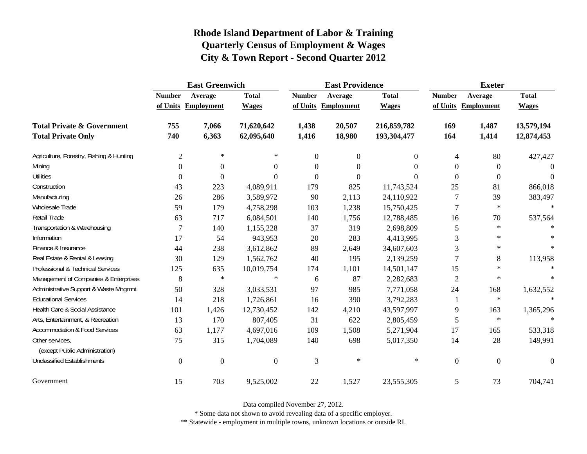|                                                   | <b>East Greenwich</b> |                     |              |                  | <b>East Providence</b> |                | <b>Exeter</b>    |                     |              |
|---------------------------------------------------|-----------------------|---------------------|--------------|------------------|------------------------|----------------|------------------|---------------------|--------------|
|                                                   | <b>Number</b>         | Average             | <b>Total</b> | <b>Number</b>    | Average                | <b>Total</b>   | <b>Number</b>    | Average             | <b>Total</b> |
|                                                   |                       | of Units Employment | <b>Wages</b> |                  | of Units Employment    | <b>Wages</b>   |                  | of Units Employment | <b>Wages</b> |
| <b>Total Private &amp; Government</b>             | 755                   | 7,066               | 71,620,642   | 1,438            | 20,507                 | 216,859,782    | 169              | 1,487               | 13,579,194   |
| <b>Total Private Only</b>                         | 740                   | 6,363               | 62,095,640   | 1,416            | 18,980                 | 193,304,477    | 164              | 1,414               | 12,874,453   |
| Agriculture, Forestry, Fishing & Hunting          | $\overline{2}$        | $\ast$              | $\ast$       | $\boldsymbol{0}$ | $\overline{0}$         | $\overline{0}$ | $\overline{4}$   | 80                  | 427,427      |
| Mining                                            | $\boldsymbol{0}$      | 0                   | $\theta$     | $\boldsymbol{0}$ | $\boldsymbol{0}$       | $\theta$       | $\Omega$         | $\boldsymbol{0}$    | $\Omega$     |
| <b>Utilities</b>                                  | $\boldsymbol{0}$      | $\theta$            | $\Omega$     | $\theta$         | $\theta$               | $\Omega$       | $\theta$         | $\boldsymbol{0}$    | $\Omega$     |
| Construction                                      | 43                    | 223                 | 4,089,911    | 179              | 825                    | 11,743,524     | 25               | 81                  | 866,018      |
| Manufacturing                                     | 26                    | 286                 | 3,589,972    | 90               | 2,113                  | 24,110,922     | 7                | 39                  | 383,497      |
| <b>Wholesale Trade</b>                            | 59                    | 179                 | 4,758,298    | 103              | 1,238                  | 15,750,425     | $\tau$           | $\ast$              | $\ast$       |
| Retail Trade                                      | 63                    | 717                 | 6,084,501    | 140              | 1,756                  | 12,788,485     | 16               | 70                  | 537,564      |
| Transportation & Warehousing                      | 7                     | 140                 | 1,155,228    | 37               | 319                    | 2,698,809      | 5                | $\ast$              |              |
| Information                                       | 17                    | 54                  | 943,953      | 20               | 283                    | 4,413,995      | 3                | $\ast$              |              |
| Finance & Insurance                               | 44                    | 238                 | 3,612,862    | 89               | 2,649                  | 34,607,603     | 3                | $\star$             | $\ast$       |
| Real Estate & Rental & Leasing                    | 30                    | 129                 | 1,562,762    | 40               | 195                    | 2,139,259      | 7                | 8                   | 113,958      |
| Professional & Technical Services                 | 125                   | 635                 | 10,019,754   | 174              | 1,101                  | 14,501,147     | 15               | $\ast$              | $\ast$       |
| Management of Companies & Enterprises             | 8                     | $\ast$              | $\ast$       | 6                | 87                     | 2,282,683      | $\overline{2}$   | $\ast$              | $\star$      |
| Administrative Support & Waste Mngmnt.            | 50                    | 328                 | 3,033,531    | 97               | 985                    | 7,771,058      | 24               | 168                 | 1,632,552    |
| <b>Educational Services</b>                       | 14                    | 218                 | 1,726,861    | 16               | 390                    | 3,792,283      | 1                | $\ast$              |              |
| Health Care & Social Assistance                   | 101                   | 1,426               | 12,730,452   | 142              | 4,210                  | 43,597,997     | 9                | 163                 | 1,365,296    |
| Arts, Entertainment, & Recreation                 | 13                    | 170                 | 807,405      | 31               | 622                    | 2,805,459      | 5                | $\ast$              | $\ast$       |
| <b>Accommodation &amp; Food Services</b>          | 63                    | 1,177               | 4,697,016    | 109              | 1,508                  | 5,271,904      | 17               | 165                 | 533,318      |
| Other services,<br>(except Public Administration) | 75                    | 315                 | 1,704,089    | 140              | 698                    | 5,017,350      | 14               | 28                  | 149,991      |
| <b>Unclassified Establishments</b>                | $\boldsymbol{0}$      | $\mathbf{0}$        | $\Omega$     | 3                | $\ast$                 | $\ast$         | $\boldsymbol{0}$ | $\boldsymbol{0}$    | $\Omega$     |
| Government                                        | 15                    | 703                 | 9,525,002    | 22               | 1,527                  | 23,555,305     | $\sqrt{5}$       | 73                  | 704,741      |

Data compiled November 27, 2012.

\* Some data not shown to avoid revealing data of a specific employer.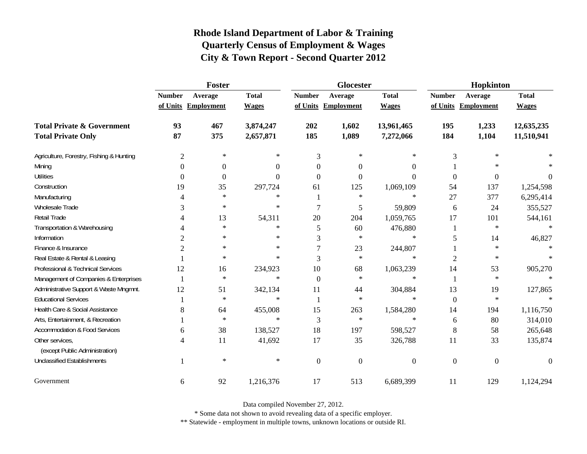|                                                   | Foster         |                     |              |                | <b>Glocester</b>    |                  | Hopkinton      |                     |              |
|---------------------------------------------------|----------------|---------------------|--------------|----------------|---------------------|------------------|----------------|---------------------|--------------|
|                                                   | <b>Number</b>  | Average             | <b>Total</b> | <b>Number</b>  | Average             | <b>Total</b>     | <b>Number</b>  | Average             | <b>Total</b> |
|                                                   |                | of Units Employment | <b>Wages</b> |                | of Units Employment | <b>Wages</b>     |                | of Units Employment | <b>Wages</b> |
| <b>Total Private &amp; Government</b>             | 93             | 467                 | 3,874,247    | 202            | 1,602               | 13,961,465       | 195            | 1,233               | 12,635,235   |
| <b>Total Private Only</b>                         | 87             | 375                 | 2,657,871    | 185            | 1,089               | 7,272,066        | 184            | 1,104               | 11,510,941   |
| Agriculture, Forestry, Fishing & Hunting          | $\mathfrak{2}$ | $\ast$              | ∗            | 3              | $\ast$              | ∗                | 3              | $\ast$              |              |
| Mining                                            | $\theta$       | $\boldsymbol{0}$    | $\theta$     | 0              | $\theta$            | 0                |                | $\ast$              |              |
| <b>Utilities</b>                                  | $\overline{0}$ | $\boldsymbol{0}$    | $\theta$     | $\Omega$       | $\Omega$            | $\Omega$         | $\overline{0}$ | $\boldsymbol{0}$    | 0            |
| Construction                                      | 19             | 35                  | 297,724      | 61             | 125                 | 1,069,109        | 54             | 137                 | 1,254,598    |
| Manufacturing                                     | 4              | $\ast$              | $\ast$       |                | $\ast$              | $\ast$           | 27             | 377                 | 6,295,414    |
| Wholesale Trade                                   | 3              | $\ast$              | $\ast$       |                | 5                   | 59,809           | 6              | 24                  | 355,527      |
| Retail Trade                                      |                | 13                  | 54,311       | 20             | 204                 | 1,059,765        | 17             | 101                 | 544,161      |
| Transportation & Warehousing                      |                | $\ast$              | $\ast$       | 5              | 60                  | 476,880          | 1              | $\ast$              | $\ast$       |
| Information                                       | 2              | $\ast$              | $\ast$       | 3              | $\ast$              | $\ast$           | 5              | 14                  | 46,827       |
| Finance & Insurance                               | 2              | $\ast$              | $\ast$       |                | 23                  | 244,807          |                | $\ast$              |              |
| Real Estate & Rental & Leasing                    |                | $\ast$              | $\ast$       | 3              | $\ast$              | $\ast$           | $\overline{2}$ | $\ast$              |              |
| Professional & Technical Services                 | 12             | 16                  | 234,923      | 10             | 68                  | 1,063,239        | 14             | 53                  | 905,270      |
| Management of Companies & Enterprises             |                | $\ast$              | $\ast$       | $\Omega$       | $\ast$              | $\ast$           | 1              | $\ast$              | $\ast$       |
| Administrative Support & Waste Mngmnt.            | 12             | 51                  | 342,134      | 11             | 44                  | 304,884          | 13             | 19                  | 127,865      |
| <b>Educational Services</b>                       |                | $\ast$              | $\ast$       |                | $\ast$              | $\ast$           | $\mathbf{0}$   | $\ast$              |              |
| Health Care & Social Assistance                   | 8              | 64                  | 455,008      | 15             | 263                 | 1,584,280        | 14             | 194                 | 1,116,750    |
| Arts, Entertainment, & Recreation                 |                | $\ast$              | $\ast$       | 3              | $\ast$              | $\ast$           | 6              | 80                  | 314,010      |
| <b>Accommodation &amp; Food Services</b>          | 6              | 38                  | 138,527      | 18             | 197                 | 598,527          | 8              | 58                  | 265,648      |
| Other services,<br>(except Public Administration) | 4              | 11                  | 41,692       | 17             | 35                  | 326,788          | 11             | 33                  | 135,874      |
| <b>Unclassified Establishments</b>                |                | $\ast$              | $\ast$       |                |                     | $\boldsymbol{0}$ | $\overline{0}$ | $\boldsymbol{0}$    | $\Omega$     |
|                                                   |                |                     |              | $\overline{0}$ | $\mathbf{0}$        |                  |                |                     |              |
| Government                                        | 6              | 92                  | 1,216,376    | 17             | 513                 | 6,689,399        | 11             | 129                 | 1,124,294    |

Data compiled November 27, 2012.

\* Some data not shown to avoid revealing data of a specific employer.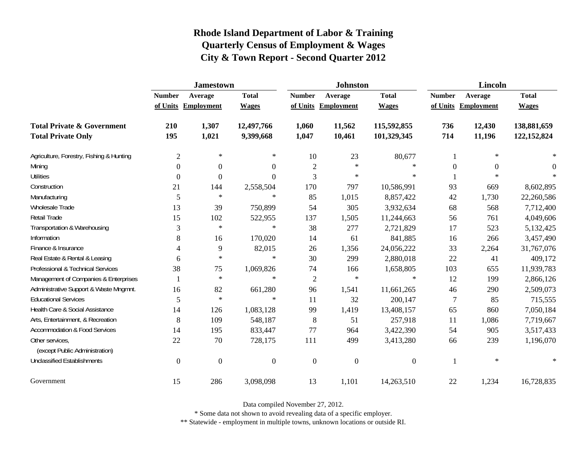|                                                   | <b>Jamestown</b> |                     |                  |                  | <b>Johnston</b>  |                  | <b>Lincoln</b>   |                     |               |
|---------------------------------------------------|------------------|---------------------|------------------|------------------|------------------|------------------|------------------|---------------------|---------------|
|                                                   | <b>Number</b>    | Average             | <b>Total</b>     | <b>Number</b>    | Average          | <b>Total</b>     | <b>Number</b>    | Average             | <b>Total</b>  |
|                                                   |                  | of Units Employment | <b>Wages</b>     | of Units         | Employment       | <b>Wages</b>     |                  | of Units Employment | <b>Wages</b>  |
| <b>Total Private &amp; Government</b>             | 210              | 1,307               | 12,497,766       | 1,060            | 11,562           | 115,592,855      | 736              | 12,430              | 138,881,659   |
| <b>Total Private Only</b>                         | 195              | 1,021               | 9,399,668        | 1,047            | 10,461           | 101,329,345      | 714              | 11,196              | 122, 152, 824 |
| Agriculture, Forestry, Fishing & Hunting          | $\overline{c}$   | $\ast$              | ∗                | 10               | 23               | 80,677           | 1                | $\ast$              |               |
| Mining                                            | 0                | $\overline{0}$      | 0                | $\overline{2}$   | $\ast$           | $\ast$           | $\boldsymbol{0}$ | $\Omega$            | $\Omega$      |
| <b>Utilities</b>                                  | 0                | $\boldsymbol{0}$    | $\Omega$         | 3                | $\ast$           | $\ast$           |                  | $\star$             |               |
| Construction                                      | 21               | 144                 | 2,558,504        | 170              | 797              | 10,586,991       | 93               | 669                 | 8,602,895     |
| Manufacturing                                     | 5                | $\ast$              | $\ast$           | 85               | 1,015            | 8,857,422        | 42               | 1,730               | 22,260,586    |
| Wholesale Trade                                   | 13               | 39                  | 750,899          | 54               | 305              | 3,932,634        | 68               | 568                 | 7,712,400     |
| Retail Trade                                      | 15               | 102                 | 522,955          | 137              | 1,505            | 11,244,663       | 56               | 761                 | 4,049,606     |
| Transportation & Warehousing                      | 3                | $\ast$              | $\ast$           | 38               | 277              | 2,721,829        | 17               | 523                 | 5,132,425     |
| Information                                       | 8                | 16                  | 170,020          | 14               | 61               | 841,885          | 16               | 266                 | 3,457,490     |
| Finance & Insurance                               | 4                | 9                   | 82,015           | 26               | 1,356            | 24,056,222       | 33               | 2,264               | 31,767,076    |
| Real Estate & Rental & Leasing                    | 6                | $\ast$              | $\ast$           | 30               | 299              | 2,880,018        | 22               | 41                  | 409,172       |
| Professional & Technical Services                 | 38               | 75                  | 1,069,826        | 74               | 166              | 1,658,805        | 103              | 655                 | 11,939,783    |
| Management of Companies & Enterprises             |                  | $\ast$              | $\ast$           | $\mathfrak{2}$   | $\ast$           | $\ast$           | 12               | 199                 | 2,866,126     |
| Administrative Support & Waste Mngmnt.            | 16               | 82                  | 661,280          | 96               | 1,541            | 11,661,265       | 46               | 290                 | 2,509,073     |
| <b>Educational Services</b>                       | 5                | $\ast$              | $\ast$           | 11               | 32               | 200,147          | 7                | 85                  | 715,555       |
| Health Care & Social Assistance                   | 14               | 126                 | 1,083,128        | 99               | 1,419            | 13,408,157       | 65               | 860                 | 7,050,184     |
| Arts, Entertainment, & Recreation                 | 8                | 109                 | 548,187          | $\,8\,$          | 51               | 257,918          | 11               | 1,086               | 7,719,667     |
| <b>Accommodation &amp; Food Services</b>          | 14               | 195                 | 833,447          | 77               | 964              | 3,422,390        | 54               | 905                 | 3,517,433     |
| Other services,<br>(except Public Administration) | 22               | 70                  | 728,175          | 111              | 499              | 3,413,280        | 66               | 239                 | 1,196,070     |
| <b>Unclassified Establishments</b>                | $\boldsymbol{0}$ | $\boldsymbol{0}$    | $\boldsymbol{0}$ | $\boldsymbol{0}$ | $\boldsymbol{0}$ | $\boldsymbol{0}$ |                  | $\ast$              | $\ast$        |
| Government                                        | 15               | 286                 | 3,098,098        | 13               | 1,101            | 14,263,510       | 22               | 1,234               | 16,728,835    |

Data compiled November 27, 2012.

\* Some data not shown to avoid revealing data of a specific employer.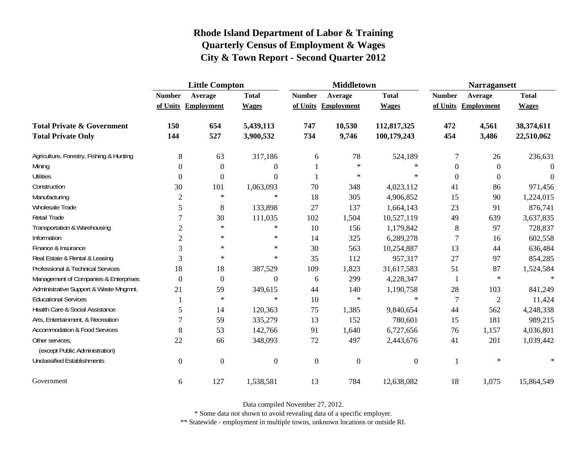|                                                   | <b>Little Compton</b> |                     |                  |                | <b>Middletown</b>   |                  | <b>Narragansett</b> |                     |              |
|---------------------------------------------------|-----------------------|---------------------|------------------|----------------|---------------------|------------------|---------------------|---------------------|--------------|
|                                                   | <b>Number</b>         | Average             | <b>Total</b>     | <b>Number</b>  | Average             | <b>Total</b>     | <b>Number</b>       | Average             | <b>Total</b> |
|                                                   |                       | of Units Employment | <b>Wages</b>     |                | of Units Employment | <b>Wages</b>     |                     | of Units Employment | <b>Wages</b> |
| <b>Total Private &amp; Government</b>             | 150                   | 654                 | 5,439,113        | 747            | 10,530              | 112,817,325      | 472                 | 4,561               | 38,374,611   |
| <b>Total Private Only</b>                         | 144                   | 527                 | 3,900,532        | 734            | 9,746               | 100,179,243      | 454                 | 3,486               | 22,510,062   |
| Agriculture, Forestry, Fishing & Hunting          | 8                     | 63                  | 317,186          | 6              | 78                  | 524,189          | 7                   | 26                  | 236,631      |
| Mining                                            | $\Omega$              | $\boldsymbol{0}$    | $\Omega$         |                | $\ast$              | $\ast$           | $\theta$            | $\boldsymbol{0}$    | $\Omega$     |
| <b>Utilities</b>                                  | $\boldsymbol{0}$      | $\boldsymbol{0}$    | $\Omega$         |                | $\ast$              | $\ast$           | $\overline{0}$      | $\boldsymbol{0}$    | $\Omega$     |
| Construction                                      | 30                    | 101                 | 1,063,093        | 70             | 348                 | 4,023,112        | 41                  | 86                  | 971,456      |
| Manufacturing                                     | $\overline{2}$        | $\ast$              | $\ast$           | 18             | 305                 | 4,906,852        | 15                  | 90                  | 1,224,015    |
| Wholesale Trade                                   | 5                     | $8\,$               | 133,898          | 27             | 137                 | 1,664,143        | 23                  | 91                  | 876,741      |
| Retail Trade                                      | 7                     | 30                  | 111,035          | 102            | 1,504               | 10,527,119       | 49                  | 639                 | 3,637,835    |
| Transportation & Warehousing                      | $\sqrt{2}$            | $\ast$              | $\ast$           | 10             | 156                 | 1,179,842        | 8                   | 97                  | 728,837      |
| Information                                       | $\overline{2}$        | $\ast$              | $\ast$           | 14             | 325                 | 6,289,278        | 7                   | 16                  | 602,558      |
| Finance & Insurance                               | 3                     | $\ast$              | $\ast$           | 30             | 563                 | 10,254,887       | 13                  | 44                  | 636,484      |
| Real Estate & Rental & Leasing                    | 3                     | $\ast$              | $\ast$           | 35             | 112                 | 957,317          | 27                  | 97                  | 854,285      |
| Professional & Technical Services                 | 18                    | 18                  | 387,529          | 109            | 1,823               | 31,617,583       | 51                  | 87                  | 1,524,584    |
| Management of Companies & Enterprises             | $\Omega$              | $\boldsymbol{0}$    | $\Omega$         | 6              | 299                 | 4,228,347        | 1                   | $\ast$              | $\ast$       |
| Administrative Support & Waste Mngmnt.            | 21                    | 59                  | 349,615          | 44             | 140                 | 1,190,758        | 28                  | 103                 | 841,249      |
| <b>Educational Services</b>                       |                       | $\ast$              | $\ast$           | 10             | $\ast$              | $\ast$           | $\tau$              | $\mathfrak{2}$      | 11,424       |
| Health Care & Social Assistance                   | 5                     | 14                  | 120,363          | 75             | 1,385               | 9,840,654        | 44                  | 562                 | 4,248,338    |
| Arts, Entertainment, & Recreation                 | $\overline{7}$        | 59                  | 335,279          | 13             | 152                 | 780,601          | 15                  | 181                 | 989,215      |
| <b>Accommodation &amp; Food Services</b>          | 8                     | 53                  | 142,766          | 91             | 1,640               | 6,727,656        | 76                  | 1,157               | 4,036,801    |
| Other services,<br>(except Public Administration) | 22                    | 66                  | 348,093          | 72             | 497                 | 2,443,676        | 41                  | 201                 | 1,039,442    |
| <b>Unclassified Establishments</b>                | $\boldsymbol{0}$      | $\boldsymbol{0}$    | $\boldsymbol{0}$ | $\overline{0}$ | $\mathbf{0}$        | $\boldsymbol{0}$ | 1                   | $\ast$              |              |
| Government                                        | 6                     | 127                 | 1,538,581        | 13             | 784                 | 12,638,082       | 18                  | 1,075               | 15,864,549   |

Data compiled November 27, 2012.

\* Some data not shown to avoid revealing data of a specific employer.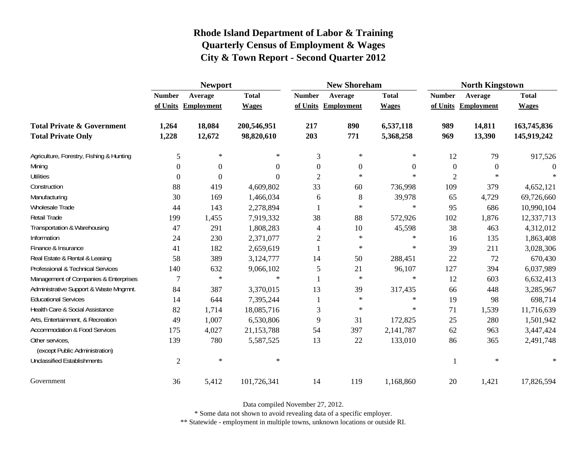|                                                   | <b>Newport</b> |                     |              |                | <b>New Shoreham</b> |                  | <b>North Kingstown</b> |                     |              |
|---------------------------------------------------|----------------|---------------------|--------------|----------------|---------------------|------------------|------------------------|---------------------|--------------|
|                                                   | <b>Number</b>  | Average             | <b>Total</b> | <b>Number</b>  | Average             | <b>Total</b>     | <b>Number</b>          | Average             | <b>Total</b> |
|                                                   |                | of Units Employment | <b>Wages</b> |                | of Units Employment | <b>Wages</b>     |                        | of Units Employment | <b>Wages</b> |
| <b>Total Private &amp; Government</b>             | 1,264          | 18,084              | 200,546,951  | 217            | 890                 | 6,537,118        | 989                    | 14,811              | 163,745,836  |
| <b>Total Private Only</b>                         | 1,228          | 12,672              | 98,820,610   | 203            | 771                 | 5,368,258        | 969                    | 13,390              | 145,919,242  |
| Agriculture, Forestry, Fishing & Hunting          | 5              | $\ast$              | $\ast$       | 3              | $\ast$              | ∗                | 12                     | 79                  | 917,526      |
| Mining                                            | 0              | $\Omega$            | $\theta$     | $\overline{0}$ | $\Omega$            | $\boldsymbol{0}$ | $\boldsymbol{0}$       | $\theta$            |              |
| <b>Utilities</b>                                  | 0              | $\Omega$            | $\theta$     | $\overline{2}$ | $\ast$              | $\ast$           | $\overline{2}$         | $\star$             |              |
| Construction                                      | 88             | 419                 | 4,609,802    | 33             | 60                  | 736,998          | 109                    | 379                 | 4,652,121    |
| Manufacturing                                     | 30             | 169                 | 1,466,034    | 6              | 8                   | 39,978           | 65                     | 4,729               | 69,726,660   |
| Wholesale Trade                                   | 44             | 143                 | 2,278,894    |                | $\ast$              | $\ast$           | 95                     | 686                 | 10,990,104   |
| Retail Trade                                      | 199            | 1,455               | 7,919,332    | 38             | 88                  | 572,926          | 102                    | 1,876               | 12,337,713   |
| Transportation & Warehousing                      | 47             | 291                 | 1,808,283    | 4              | 10                  | 45,598           | 38                     | 463                 | 4,312,012    |
| Information                                       | 24             | 230                 | 2,371,077    | 2              | $\ast$              | ∗                | 16                     | 135                 | 1,863,408    |
| Finance & Insurance                               | 41             | 182                 | 2,659,619    | 1              | $\ast$              | ∗                | 39                     | 211                 | 3,028,306    |
| Real Estate & Rental & Leasing                    | 58             | 389                 | 3,124,777    | 14             | 50                  | 288,451          | 22                     | 72                  | 670,430      |
| Professional & Technical Services                 | 140            | 632                 | 9,066,102    | 5              | 21                  | 96,107           | 127                    | 394                 | 6,037,989    |
| Management of Companies & Enterprises             | 7              | $\ast$              | $\ast$       | -1             | $\ast$              | $\ast$           | 12                     | 603                 | 6,632,413    |
| Administrative Support & Waste Mngmnt.            | 84             | 387                 | 3,370,015    | 13             | 39                  | 317,435          | 66                     | 448                 | 3,285,967    |
| <b>Educational Services</b>                       | 14             | 644                 | 7,395,244    |                | $\ast$              | $\ast$           | 19                     | 98                  | 698,714      |
| Health Care & Social Assistance                   | 82             | 1,714               | 18,085,716   | 3              | $\ast$              | $\ast$           | 71                     | 1,539               | 11,716,639   |
| Arts, Entertainment, & Recreation                 | 49             | 1,007               | 6,530,806    | 9              | 31                  | 172,825          | 25                     | 280                 | 1,501,942    |
| <b>Accommodation &amp; Food Services</b>          | 175            | 4,027               | 21,153,788   | 54             | 397                 | 2,141,787        | 62                     | 963                 | 3,447,424    |
| Other services,<br>(except Public Administration) | 139            | 780                 | 5,587,525    | 13             | 22                  | 133,010          | 86                     | 365                 | 2,491,748    |
| <b>Unclassified Establishments</b>                | $\overline{c}$ | $\ast$              | $\ast$       |                |                     |                  |                        | $\ast$              | $\ast$       |
| Government                                        | 36             | 5,412               | 101,726,341  | 14             | 119                 | 1,168,860        | 20                     | 1,421               | 17,826,594   |

Data compiled November 27, 2012.

\* Some data not shown to avoid revealing data of a specific employer.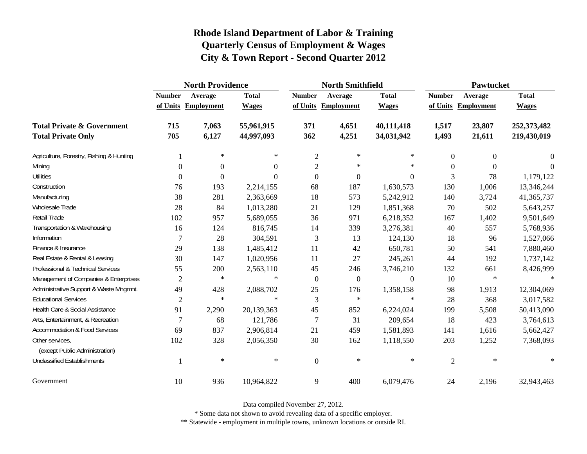|                                                   | <b>North Providence</b> |                     |              |                  | <b>North Smithfield</b> |                  | <b>Pawtucket</b> |                     |              |  |
|---------------------------------------------------|-------------------------|---------------------|--------------|------------------|-------------------------|------------------|------------------|---------------------|--------------|--|
|                                                   | <b>Number</b>           | Average             | <b>Total</b> | <b>Number</b>    | Average                 | <b>Total</b>     | <b>Number</b>    | Average             | <b>Total</b> |  |
|                                                   |                         | of Units Employment | <b>Wages</b> |                  | of Units Employment     | <b>Wages</b>     |                  | of Units Employment | <b>Wages</b> |  |
| <b>Total Private &amp; Government</b>             | 715                     | 7,063               | 55,961,915   | 371              | 4,651                   | 40,111,418       | 1,517            | 23,807              | 252,373,482  |  |
| <b>Total Private Only</b>                         | 705                     | 6,127               | 44,997,093   | 362              | 4,251                   | 34,031,942       | 1,493            | 21,611              | 219,430,019  |  |
| Agriculture, Forestry, Fishing & Hunting          |                         | $\ast$              | $\ast$       | $\sqrt{2}$       | $\ast$                  | $\ast$           | $\overline{0}$   | $\Omega$            | 0            |  |
| Mining                                            | $\overline{0}$          | 0                   | $\Omega$     | $\overline{c}$   | $\ast$                  | $\ast$           | $\theta$         | $\Omega$            | $\Omega$     |  |
| <b>Utilities</b>                                  | $\boldsymbol{0}$        | $\boldsymbol{0}$    | $\Omega$     | $\boldsymbol{0}$ | $\boldsymbol{0}$        | $\boldsymbol{0}$ | 3                | 78                  | 1,179,122    |  |
| Construction                                      | 76                      | 193                 | 2,214,155    | 68               | 187                     | 1,630,573        | 130              | 1,006               | 13,346,244   |  |
| Manufacturing                                     | 38                      | 281                 | 2,363,669    | 18               | 573                     | 5,242,912        | 140              | 3,724               | 41,365,737   |  |
| Wholesale Trade                                   | 28                      | 84                  | 1,013,280    | 21               | 129                     | 1,851,368        | 70               | 502                 | 5,643,257    |  |
| <b>Retail Trade</b>                               | 102                     | 957                 | 5,689,055    | 36               | 971                     | 6,218,352        | 167              | 1,402               | 9,501,649    |  |
| Transportation & Warehousing                      | 16                      | 124                 | 816,745      | 14               | 339                     | 3,276,381        | 40               | 557                 | 5,768,936    |  |
| Information                                       | 7                       | 28                  | 304,591      | 3                | 13                      | 124,130          | 18               | 96                  | 1,527,066    |  |
| Finance & Insurance                               | 29                      | 138                 | 1,485,412    | 11               | 42                      | 650,781          | 50               | 541                 | 7,880,460    |  |
| Real Estate & Rental & Leasing                    | 30                      | 147                 | 1,020,956    | 11               | 27                      | 245,261          | 44               | 192                 | 1,737,142    |  |
| Professional & Technical Services                 | 55                      | 200                 | 2,563,110    | 45               | 246                     | 3,746,210        | 132              | 661                 | 8,426,999    |  |
| Management of Companies & Enterprises             | $\overline{2}$          | $\ast$              | $\ast$       | $\overline{0}$   | $\boldsymbol{0}$        | $\boldsymbol{0}$ | 10               | $\ast$              | $\ast$       |  |
| Administrative Support & Waste Mngmnt.            | 49                      | 428                 | 2,088,702    | 25               | 176                     | 1,358,158        | 98               | 1,913               | 12,304,069   |  |
| <b>Educational Services</b>                       | $\overline{2}$          | $\ast$              | $\ast$       | 3                | $\ast$                  | $\ast$           | 28               | 368                 | 3,017,582    |  |
| Health Care & Social Assistance                   | 91                      | 2,290               | 20,139,363   | 45               | 852                     | 6,224,024        | 199              | 5,508               | 50,413,090   |  |
| Arts, Entertainment, & Recreation                 | 7                       | 68                  | 121,786      | 7                | 31                      | 209,654          | 18               | 423                 | 3,764,613    |  |
| Accommodation & Food Services                     | 69                      | 837                 | 2,906,814    | 21               | 459                     | 1,581,893        | 141              | 1,616               | 5,662,427    |  |
| Other services,<br>(except Public Administration) | 102                     | 328                 | 2,056,350    | 30               | 162                     | 1,118,550        | 203              | 1,252               | 7,368,093    |  |
| <b>Unclassified Establishments</b>                |                         | $\ast$              | $\ast$       | $\mathbf{0}$     | $\ast$                  | $\ast$           | $\overline{2}$   | $\ast$              | $\ast$       |  |
| Government                                        | 10                      | 936                 | 10,964,822   | $\mathbf{9}$     | 400                     | 6,079,476        | 24               | 2,196               | 32,943,463   |  |

Data compiled November 27, 2012.

\* Some data not shown to avoid revealing data of a specific employer.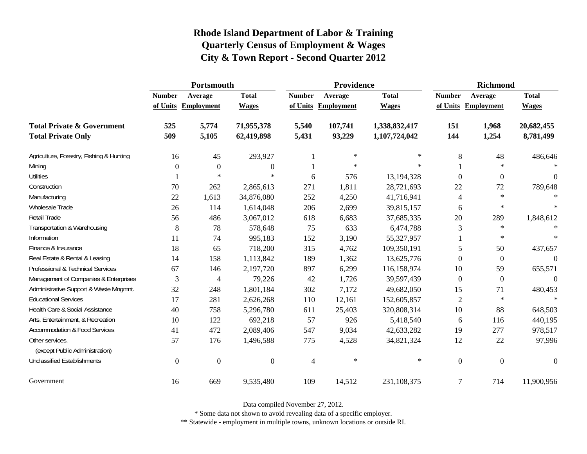|                                                   | Portsmouth    |                     |                  |                | Providence |               | <b>Richmond</b> |                     |                  |
|---------------------------------------------------|---------------|---------------------|------------------|----------------|------------|---------------|-----------------|---------------------|------------------|
|                                                   | <b>Number</b> | Average             | <b>Total</b>     | <b>Number</b>  | Average    | <b>Total</b>  | <b>Number</b>   | Average             | <b>Total</b>     |
|                                                   |               | of Units Employment | <b>Wages</b>     | of Units       | Employment | <b>Wages</b>  |                 | of Units Employment | <b>Wages</b>     |
| <b>Total Private &amp; Government</b>             | 525           | 5,774               | 71,955,378       | 5,540          | 107,741    | 1,338,832,417 | 151             | 1,968               | 20,682,455       |
| <b>Total Private Only</b>                         | 509           | 5,105               | 62,419,898       | 5,431          | 93,229     | 1,107,724,042 | 144             | 1,254               | 8,781,499        |
| Agriculture, Forestry, Fishing & Hunting          | 16            | 45                  | 293,927          |                | $\ast$     | $\ast$        | 8               | 48                  | 486,646          |
| Mining                                            | $\Omega$      | $\theta$            | $\boldsymbol{0}$ |                | $\ast$     | $\ast$        |                 | $\ast$              |                  |
| <b>Utilities</b>                                  |               | $\ast$              | $\ast$           | 6              | 576        | 13,194,328    | $\Omega$        | $\Omega$            | $\theta$         |
| Construction                                      | 70            | 262                 | 2,865,613        | 271            | 1,811      | 28,721,693    | 22              | 72                  | 789,648          |
| Manufacturing                                     | 22            | 1,613               | 34,876,080       | 252            | 4,250      | 41,716,941    | $\overline{4}$  | $\star$             | $\ast$           |
| <b>Wholesale Trade</b>                            | 26            | 114                 | 1,614,048        | 206            | 2,699      | 39,815,157    | 6               | $\ast$              | $\ast$           |
| Retail Trade                                      | 56            | 486                 | 3,067,012        | 618            | 6,683      | 37,685,335    | 20              | 289                 | 1,848,612        |
| Transportation & Warehousing                      | $\,8\,$       | 78                  | 578,648          | 75             | 633        | 6,474,788     | $\mathfrak{Z}$  | $\star$             | $\star$          |
| Information                                       | 11            | 74                  | 995,183          | 152            | 3,190      | 55,327,957    |                 | $\ast$              | $\ast$           |
| Finance & Insurance                               | 18            | 65                  | 718,200          | 315            | 4,762      | 109,350,191   | 5               | 50                  | 437,657          |
| Real Estate & Rental & Leasing                    | 14            | 158                 | 1,113,842        | 189            | 1,362      | 13,625,776    | $\Omega$        | $\overline{0}$      | $\boldsymbol{0}$ |
| Professional & Technical Services                 | 67            | 146                 | 2,197,720        | 897            | 6,299      | 116,158,974   | 10              | 59                  | 655,571          |
| Management of Companies & Enterprises             | 3             | 4                   | 79,226           | 42             | 1,726      | 39,597,439    | $\Omega$        | $\overline{0}$      | $\boldsymbol{0}$ |
| Administrative Support & Waste Mngmnt.            | 32            | 248                 | 1,801,184        | 302            | 7,172      | 49,682,050    | 15              | 71                  | 480,453          |
| <b>Educational Services</b>                       | 17            | 281                 | 2,626,268        | 110            | 12,161     | 152,605,857   | 2               | $\ast$              | $\star$          |
| Health Care & Social Assistance                   | 40            | 758                 | 5,296,780        | 611            | 25,403     | 320,808,314   | 10              | 88                  | 648,503          |
| Arts, Entertainment, & Recreation                 | 10            | 122                 | 692,218          | 57             | 926        | 5,418,540     | 6               | 116                 | 440,195          |
| <b>Accommodation &amp; Food Services</b>          | 41            | 472                 | 2,089,406        | 547            | 9,034      | 42,633,282    | 19              | 277                 | 978,517          |
| Other services,<br>(except Public Administration) | 57            | 176                 | 1,496,588        | 775            | 4,528      | 34,821,324    | 12              | 22                  | 97,996           |
| <b>Unclassified Establishments</b>                | $\mathbf{0}$  | $\mathbf{0}$        | $\boldsymbol{0}$ | $\overline{4}$ | $\ast$     | $\ast$        | $\mathbf{0}$    | $\mathbf{0}$        | $\boldsymbol{0}$ |
| Government                                        | 16            | 669                 | 9,535,480        | 109            | 14,512     | 231,108,375   | $\overline{7}$  | 714                 | 11,900,956       |

Data compiled November 27, 2012.

\* Some data not shown to avoid revealing data of a specific employer.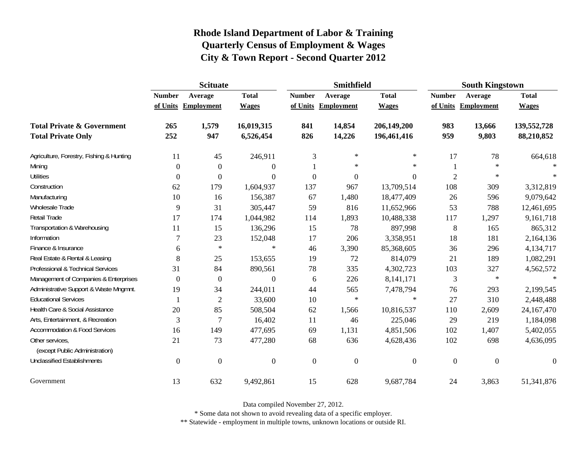|                                                   | <b>Scituate</b>  |                     |                  |                  | <b>Smithfield</b> |                  | <b>South Kingstown</b> |                     |                  |
|---------------------------------------------------|------------------|---------------------|------------------|------------------|-------------------|------------------|------------------------|---------------------|------------------|
|                                                   | <b>Number</b>    | Average             | <b>Total</b>     | <b>Number</b>    | Average           | <b>Total</b>     | <b>Number</b>          | Average             | <b>Total</b>     |
|                                                   |                  | of Units Employment | <b>Wages</b>     | of Units         | <b>Employment</b> | <b>Wages</b>     |                        | of Units Employment | <b>Wages</b>     |
| <b>Total Private &amp; Government</b>             | 265              | 1,579               | 16,019,315       | 841              | 14,854            | 206,149,200      | 983                    | 13,666              | 139,552,728      |
| <b>Total Private Only</b>                         | 252              | 947                 | 6,526,454        | 826              | 14,226            | 196,461,416      | 959                    | 9,803               | 88,210,852       |
| Agriculture, Forestry, Fishing & Hunting          | 11               | 45                  | 246,911          | 3                | $\ast$            | $\ast$           | 17                     | 78                  | 664,618          |
| Mining                                            | 0                | $\mathbf{0}$        | $\boldsymbol{0}$ |                  | $\ast$            | $\ast$           |                        | $\ast$              | $\ast$           |
| <b>Utilities</b>                                  | 0                | $\boldsymbol{0}$    | $\boldsymbol{0}$ | $\boldsymbol{0}$ | $\boldsymbol{0}$  | $\boldsymbol{0}$ | $\overline{2}$         | $\ast$              | $\ast$           |
| Construction                                      | 62               | 179                 | 1,604,937        | 137              | 967               | 13,709,514       | 108                    | 309                 | 3,312,819        |
| Manufacturing                                     | 10               | 16                  | 156,387          | 67               | 1,480             | 18,477,409       | 26                     | 596                 | 9,079,642        |
| Wholesale Trade                                   | 9                | 31                  | 305,447          | 59               | 816               | 11,652,966       | 53                     | 788                 | 12,461,695       |
| Retail Trade                                      | 17               | 174                 | 1,044,982        | 114              | 1,893             | 10,488,338       | 117                    | 1,297               | 9,161,718        |
| Transportation & Warehousing                      | 11               | 15                  | 136,296          | 15               | 78                | 897,998          | $\,8\,$                | 165                 | 865,312          |
| Information                                       | 7                | 23                  | 152,048          | 17               | 206               | 3,358,951        | 18                     | 181                 | 2,164,136        |
| Finance & Insurance                               | 6                | $\ast$              | $\ast$           | 46               | 3,390             | 85,368,605       | 36                     | 296                 | 4,134,717        |
| Real Estate & Rental & Leasing                    | 8                | 25                  | 153,655          | 19               | 72                | 814,079          | 21                     | 189                 | 1,082,291        |
| Professional & Technical Services                 | 31               | 84                  | 890,561          | $78\,$           | 335               | 4,302,723        | 103                    | 327                 | 4,562,572        |
| Management of Companies & Enterprises             | 0                | $\mathbf{0}$        | $\Omega$         | 6                | 226               | 8,141,171        | 3                      | $\ast$              | $\ast$           |
| Administrative Support & Waste Mngmnt.            | 19               | 34                  | 244,011          | 44               | 565               | 7,478,794        | 76                     | 293                 | 2,199,545        |
| <b>Educational Services</b>                       |                  | $\overline{2}$      | 33,600           | 10               | $\ast$            | $\ast$           | 27                     | 310                 | 2,448,488        |
| Health Care & Social Assistance                   | 20               | 85                  | 508,504          | 62               | 1,566             | 10,816,537       | 110                    | 2,609               | 24,167,470       |
| Arts, Entertainment, & Recreation                 | 3                | 7                   | 16,402           | 11               | 46                | 225,046          | 29                     | 219                 | 1,184,098        |
| <b>Accommodation &amp; Food Services</b>          | 16               | 149                 | 477,695          | 69               | 1,131             | 4,851,506        | 102                    | 1,407               | 5,402,055        |
| Other services,<br>(except Public Administration) | 21               | 73                  | 477,280          | 68               | 636               | 4,628,436        | 102                    | 698                 | 4,636,095        |
| <b>Unclassified Establishments</b>                | $\boldsymbol{0}$ | $\boldsymbol{0}$    | $\boldsymbol{0}$ | $\boldsymbol{0}$ | $\boldsymbol{0}$  | $\boldsymbol{0}$ | $\boldsymbol{0}$       | $\boldsymbol{0}$    | $\boldsymbol{0}$ |
| Government                                        | 13               | 632                 | 9,492,861        | 15               | 628               | 9,687,784        | 24                     | 3,863               | 51,341,876       |

Data compiled November 27, 2012.

\* Some data not shown to avoid revealing data of a specific employer.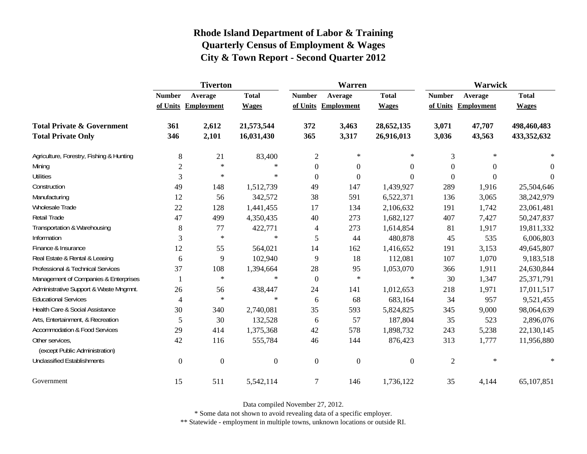|                                                   | <b>Tiverton</b>  |                     |                |                  | Warren              |                  | Warwick          |                     |              |
|---------------------------------------------------|------------------|---------------------|----------------|------------------|---------------------|------------------|------------------|---------------------|--------------|
|                                                   | <b>Number</b>    | Average             | <b>Total</b>   | <b>Number</b>    | Average             | <b>Total</b>     | <b>Number</b>    | Average             | <b>Total</b> |
|                                                   |                  | of Units Employment | <b>Wages</b>   |                  | of Units Employment | <b>Wages</b>     |                  | of Units Employment | <b>Wages</b> |
| <b>Total Private &amp; Government</b>             | 361              | 2,612               | 21,573,544     | 372              | 3,463               | 28,652,135       | 3,071            | 47,707              | 498,460,483  |
| <b>Total Private Only</b>                         | 346              | 2,101               | 16,031,430     | 365              | 3,317               | 26,916,013       | 3,036            | 43,563              | 433,352,632  |
| Agriculture, Forestry, Fishing & Hunting          | 8                | 21                  | 83,400         | $\mathfrak{2}$   | ∗                   | $\ast$           | 3                | $\ast$              |              |
| Mining                                            | $\overline{2}$   | $\ast$              | $\ast$         | $\boldsymbol{0}$ | $\boldsymbol{0}$    | $\boldsymbol{0}$ | $\boldsymbol{0}$ | $\Omega$            | $\theta$     |
| <b>Utilities</b>                                  | 3                | $\ast$              | $\ast$         | $\boldsymbol{0}$ | $\boldsymbol{0}$    | $\boldsymbol{0}$ | $\boldsymbol{0}$ | $\Omega$            | 0            |
| Construction                                      | 49               | 148                 | 1,512,739      | 49               | 147                 | 1,439,927        | 289              | 1,916               | 25,504,646   |
| Manufacturing                                     | 12               | 56                  | 342,572        | 38               | 591                 | 6,522,371        | 136              | 3,065               | 38,242,979   |
| Wholesale Trade                                   | 22               | 128                 | 1,441,455      | 17               | 134                 | 2,106,632        | 191              | 1,742               | 23,061,481   |
| Retail Trade                                      | 47               | 499                 | 4,350,435      | 40               | 273                 | 1,682,127        | 407              | 7,427               | 50,247,837   |
| Transportation & Warehousing                      | 8                | 77                  | 422,771        | $\overline{4}$   | 273                 | 1,614,854        | 81               | 1,917               | 19,811,332   |
| Information                                       | 3                | $\ast$              | $\ast$         | 5                | 44                  | 480,878          | 45               | 535                 | 6,006,803    |
| Finance & Insurance                               | 12               | 55                  | 564,021        | 14               | 162                 | 1,416,652        | 191              | 3,153               | 49,645,807   |
| Real Estate & Rental & Leasing                    | 6                | 9                   | 102,940        | 9                | 18                  | 112,081          | 107              | 1,070               | 9,183,518    |
| Professional & Technical Services                 | 37               | 108                 | 1,394,664      | 28               | 95                  | 1,053,070        | 366              | 1,911               | 24,630,844   |
| Management of Companies & Enterprises             |                  | $\ast$              | $\ast$         | $\overline{0}$   | $\ast$              | $\ast$           | 30               | 1,347               | 25,371,791   |
| Administrative Support & Waste Mngmnt.            | 26               | 56                  | 438,447        | 24               | 141                 | 1,012,653        | 218              | 1,971               | 17,011,517   |
| <b>Educational Services</b>                       | $\overline{4}$   | $\ast$              | $\ast$         | 6                | 68                  | 683,164          | 34               | 957                 | 9,521,455    |
| Health Care & Social Assistance                   | 30               | 340                 | 2,740,081      | 35               | 593                 | 5,824,825        | 345              | 9,000               | 98,064,639   |
| Arts, Entertainment, & Recreation                 | 5                | 30                  | 132,528        | 6                | 57                  | 187,804          | 35               | 523                 | 2,896,076    |
| <b>Accommodation &amp; Food Services</b>          | 29               | 414                 | 1,375,368      | 42               | 578                 | 1,898,732        | 243              | 5,238               | 22,130,145   |
| Other services,<br>(except Public Administration) | 42               | 116                 | 555,784        | 46               | 144                 | 876,423          | 313              | 1,777               | 11,956,880   |
| <b>Unclassified Establishments</b>                | $\boldsymbol{0}$ | $\boldsymbol{0}$    | $\overline{0}$ | $\boldsymbol{0}$ | $\boldsymbol{0}$    | $\boldsymbol{0}$ | $\overline{2}$   | $\ast$              | $\ast$       |
| Government                                        | 15               | 511                 | 5,542,114      | $\overline{7}$   | 146                 | 1,736,122        | 35               | 4,144               | 65,107,851   |

Data compiled November 27, 2012.

\* Some data not shown to avoid revealing data of a specific employer.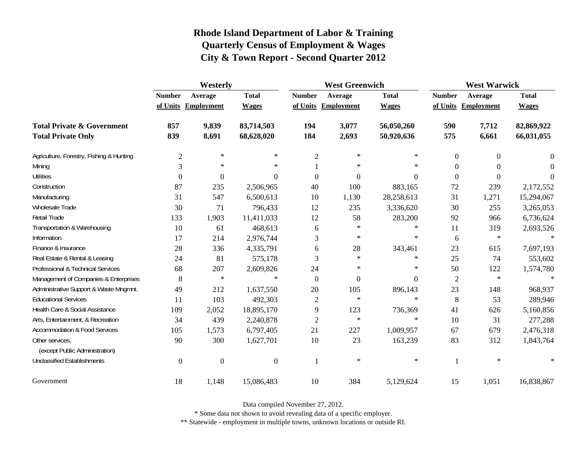|                                                   | Westerly         |                     |                |                | <b>West Greenwich</b> |              |                | <b>West Warwick</b> |              |  |
|---------------------------------------------------|------------------|---------------------|----------------|----------------|-----------------------|--------------|----------------|---------------------|--------------|--|
|                                                   | <b>Number</b>    | Average             | <b>Total</b>   | <b>Number</b>  | Average               | <b>Total</b> | <b>Number</b>  | Average             | <b>Total</b> |  |
|                                                   |                  | of Units Employment | <b>Wages</b>   |                | of Units Employment   | <b>Wages</b> |                | of Units Employment | <b>Wages</b> |  |
| <b>Total Private &amp; Government</b>             | 857              | 9,839               | 83,714,503     | 194            | 3,077                 | 56,050,260   | 590            | 7,712               | 82,869,922   |  |
| <b>Total Private Only</b>                         | 839              | 8,691               | 68,628,020     | 184            | 2,693                 | 50,920,636   | 575            | 6,661               | 66,031,055   |  |
| Agriculture, Forestry, Fishing & Hunting          | $\mathbf 2$      | $\ast$              | $\ast$         | $\overline{2}$ | $\ast$                | $\ast$       | $\mathbf{0}$   | $\boldsymbol{0}$    | 0            |  |
| Mining                                            | 3                | $\ast$              | $\ast$         |                | $\ast$                | $\ast$       | $\Omega$       | $\Omega$            | $\Omega$     |  |
| <b>Utilities</b>                                  | $\mathbf{0}$     | $\overline{0}$      | $\Omega$       | $\Omega$       | $\theta$              | $\theta$     | $\theta$       | $\boldsymbol{0}$    | $\Omega$     |  |
| Construction                                      | 87               | 235                 | 2,506,965      | 40             | 100                   | 883,165      | 72             | 239                 | 2,172,552    |  |
| Manufacturing                                     | 31               | 547                 | 6,500,613      | 10             | 1,130                 | 28,258,613   | 31             | 1,271               | 15,294,067   |  |
| Wholesale Trade                                   | 30               | 71                  | 796,433        | 12             | 235                   | 3,336,620    | 30             | 255                 | 3,265,053    |  |
| Retail Trade                                      | 133              | 1,903               | 11,411,033     | 12             | 58                    | 283,200      | 92             | 966                 | 6,736,624    |  |
| Transportation & Warehousing                      | 10               | 61                  | 468,613        | 6              | $\ast$                | $\ast$       | 11             | 319                 | 2,693,526    |  |
| Information                                       | 17               | 214                 | 2,976,744      | 3              | $\ast$                | $\ast$       | 6              | $\ast$              | $\ast$       |  |
| Finance & Insurance                               | 28               | 336                 | 4,335,791      | 6              | 28                    | 343,461      | 23             | 615                 | 7,697,193    |  |
| Real Estate & Rental & Leasing                    | 24               | 81                  | 575,178        | 3              | $\ast$                | $\ast$       | 25             | 74                  | 553,602      |  |
| Professional & Technical Services                 | 68               | 207                 | 2,609,826      | 24             | $\ast$                | $\ast$       | 50             | 122                 | 1,574,780    |  |
| Management of Companies & Enterprises             | 8                | $\ast$              | $\ast$         | $\theta$       | $\theta$              | $\theta$     | $\overline{2}$ | $\ast$              | $\ast$       |  |
| Administrative Support & Waste Mngmnt.            | 49               | 212                 | 1,637,550      | 20             | 105                   | 896,143      | 23             | 148                 | 968,937      |  |
| <b>Educational Services</b>                       | 11               | 103                 | 492,303        | $\overline{c}$ | $\ast$                | $\ast$       | 8              | 53                  | 289,946      |  |
| Health Care & Social Assistance                   | 109              | 2,052               | 18,895,170     | 9              | 123                   | 736,369      | 41             | 626                 | 5,160,856    |  |
| Arts, Entertainment, & Recreation                 | 34               | 439                 | 2,240,878      | $\overline{c}$ | $\ast$                | $\ast$       | 10             | 31                  | 277,288      |  |
| <b>Accommodation &amp; Food Services</b>          | 105              | 1,573               | 6,797,405      | 21             | 227                   | 1,009,957    | 67             | 679                 | 2,476,318    |  |
| Other services,<br>(except Public Administration) | 90               | 300                 | 1,627,701      | 10             | 23                    | 163,239      | 83             | 312                 | 1,843,764    |  |
| <b>Unclassified Establishments</b>                | $\boldsymbol{0}$ | $\boldsymbol{0}$    | $\overline{0}$ | 1              | $\ast$                | $\ast$       | 1              | $\ast$              | $\ast$       |  |
| Government                                        | 18               | 1,148               | 15,086,483     | 10             | 384                   | 5,129,624    | 15             | 1,051               | 16,838,867   |  |

Data compiled November 27, 2012.

\* Some data not shown to avoid revealing data of a specific employer.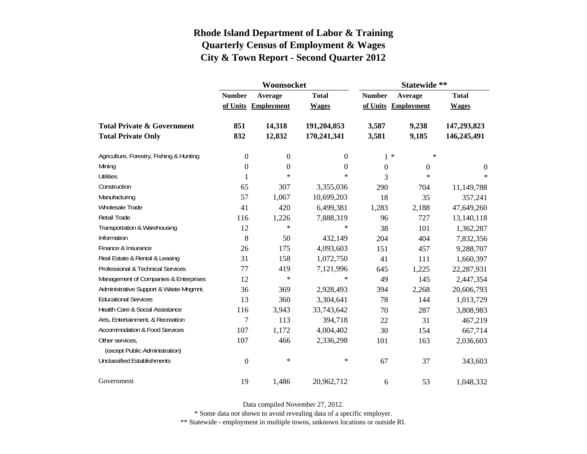|                                          |                  | Woonsocket        |              | Statewide **   |                     |              |  |
|------------------------------------------|------------------|-------------------|--------------|----------------|---------------------|--------------|--|
|                                          | <b>Number</b>    | Average           | <b>Total</b> | <b>Number</b>  | Average             | <b>Total</b> |  |
|                                          | of Units         | <b>Employment</b> | <b>Wages</b> |                | of Units Employment | <b>Wages</b> |  |
| <b>Total Private &amp; Government</b>    | 851              | 14,318            | 191,204,053  | 3,587          | 9,238               | 147,293,823  |  |
| <b>Total Private Only</b>                | 832              | 12,832            | 170,241,341  | 3,581          | 9,185               | 146,245,491  |  |
| Agriculture, Forestry, Fishing & Hunting | $\boldsymbol{0}$ | $\boldsymbol{0}$  | 0            |                | $1 *$<br>∗          |              |  |
| Mining                                   | $\boldsymbol{0}$ | $\boldsymbol{0}$  | $\theta$     | $\overline{0}$ | $\mathbf{0}$        | $\theta$     |  |
| <b>Utilities</b>                         | $\mathbf{1}$     | $\ast$            | $\ast$       | 3              | $\ast$              | $\ast$       |  |
| Construction                             | 65               | 307               | 3,355,036    | 290            | 704                 | 11,149,788   |  |
| Manufacturing                            | 57               | 1,067             | 10,699,203   | 18             | 35                  | 357,241      |  |
| Wholesale Trade                          | 41               | 420               | 6,499,381    | 1,283          | 2,188               | 47,649,260   |  |
| Retail Trade                             | 116              | 1,226             | 7,888,319    | 96             | 727                 | 13,140,118   |  |
| Transportation & Warehousing             | 12               | $\ast$            | $\ast$       | 38             | 101                 | 1,362,287    |  |
| Information                              | 8                | 50                | 432,149      | 204            | 404                 | 7,832,356    |  |
| Finance & Insurance                      | 26               | 175               | 4,093,603    | 151            | 457                 | 9,288,707    |  |
| Real Estate & Rental & Leasing           | 31               | 158               | 1,072,750    | 41             | 111                 | 1,660,397    |  |
| Professional & Technical Services        | 77               | 419               | 7,121,996    | 645            | 1,225               | 22,287,931   |  |
| Management of Companies & Enterprises    | 12               | $\ast$            | $\ast$       | 49             | 145                 | 2,447,354    |  |
| Administrative Support & Waste Mngmnt.   | 36               | 369               | 2,928,493    | 394            | 2,268               | 20,606,793   |  |
| <b>Educational Services</b>              | 13               | 360               | 3,304,641    | 78             | 144                 | 1,013,729    |  |
| Health Care & Social Assistance          | 116              | 3,943             | 33,743,642   | 70             | 287                 | 3,808,983    |  |
| Arts, Entertainment, & Recreation        | $\boldsymbol{7}$ | 113               | 394,718      | 22             | 31                  | 467,219      |  |
| <b>Accommodation &amp; Food Services</b> | 107              | 1,172             | 4,004,402    | 30             | 154                 | 667,714      |  |
| Other services,                          | 107              | 466               | 2,336,298    | 101            | 163                 | 2,036,603    |  |
| (except Public Administration)           |                  |                   |              |                |                     |              |  |
| <b>Unclassified Establishments</b>       | $\boldsymbol{0}$ | $\ast$            | $\ast$       | 67             | 37                  | 343,603      |  |
| Government                               | 19               | 1,486             | 20,962,712   | 6              | 53                  | 1,048,332    |  |

Data compiled November 27, 2012.

\* Some data not shown to avoid revealing data of a specific employer.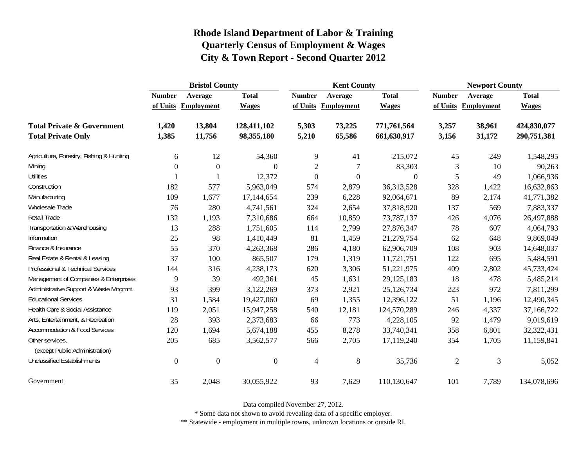|                                                   | <b>Bristol County</b> |                     |                |                  | <b>Kent County</b> |                  | <b>Newport County</b> |                   |              |
|---------------------------------------------------|-----------------------|---------------------|----------------|------------------|--------------------|------------------|-----------------------|-------------------|--------------|
|                                                   | <b>Number</b>         | Average             | <b>Total</b>   | <b>Number</b>    | Average            | <b>Total</b>     | <b>Number</b>         | Average           | <b>Total</b> |
|                                                   |                       | of Units Employment | <b>Wages</b>   | of Units         | <b>Employment</b>  | <b>Wages</b>     | of Units              | <b>Employment</b> | <b>Wages</b> |
| <b>Total Private &amp; Government</b>             | 1,420                 | 13,804              | 128,411,102    | 5,303            | 73,225             | 771,761,564      | 3,257                 | 38,961            | 424,830,077  |
| <b>Total Private Only</b>                         | 1,385                 | 11,756              | 98,355,180     | 5,210            | 65,586             | 661,630,917      | 3,156                 | 31,172            | 290,751,381  |
| Agriculture, Forestry, Fishing & Hunting          | 6                     | 12                  | 54,360         | 9                | 41                 | 215,072          | 45                    | 249               | 1,548,295    |
| Mining                                            | $\mathbf{0}$          | $\boldsymbol{0}$    | $\Omega$       | $\overline{c}$   | 7                  | 83,303           | 3                     | 10                | 90,263       |
| <b>Utilities</b>                                  |                       |                     | 12,372         | $\boldsymbol{0}$ | $\boldsymbol{0}$   | $\boldsymbol{0}$ | 5                     | 49                | 1,066,936    |
| Construction                                      | 182                   | 577                 | 5,963,049      | 574              | 2,879              | 36,313,528       | 328                   | 1,422             | 16,632,863   |
| Manufacturing                                     | 109                   | 1,677               | 17,144,654     | 239              | 6,228              | 92,064,671       | 89                    | 2,174             | 41,771,382   |
| Wholesale Trade                                   | 76                    | 280                 | 4,741,561      | 324              | 2,654              | 37,818,920       | 137                   | 569               | 7,883,337    |
| Retail Trade                                      | 132                   | 1,193               | 7,310,686      | 664              | 10,859             | 73,787,137       | 426                   | 4,076             | 26,497,888   |
| Transportation & Warehousing                      | 13                    | 288                 | 1,751,605      | 114              | 2,799              | 27,876,347       | 78                    | 607               | 4,064,793    |
| Information                                       | 25                    | 98                  | 1,410,449      | 81               | 1,459              | 21,279,754       | 62                    | 648               | 9,869,049    |
| Finance & Insurance                               | 55                    | 370                 | 4,263,368      | 286              | 4,180              | 62,906,709       | 108                   | 903               | 14,648,037   |
| Real Estate & Rental & Leasing                    | 37                    | 100                 | 865,507        | 179              | 1,319              | 11,721,751       | 122                   | 695               | 5,484,591    |
| Professional & Technical Services                 | 144                   | 316                 | 4,238,173      | 620              | 3,306              | 51,221,975       | 409                   | 2,802             | 45,733,424   |
| Management of Companies & Enterprises             | 9                     | 39                  | 492,361        | 45               | 1,631              | 29,125,183       | 18                    | 478               | 5,485,214    |
| Administrative Support & Waste Mngmnt.            | 93                    | 399                 | 3,122,269      | 373              | 2,921              | 25,126,734       | 223                   | 972               | 7,811,299    |
| <b>Educational Services</b>                       | 31                    | 1,584               | 19,427,060     | 69               | 1,355              | 12,396,122       | 51                    | 1,196             | 12,490,345   |
| Health Care & Social Assistance                   | 119                   | 2,051               | 15,947,258     | 540              | 12,181             | 124,570,289      | 246                   | 4,337             | 37,166,722   |
| Arts, Entertainment, & Recreation                 | 28                    | 393                 | 2,373,683      | 66               | 773                | 4,228,105        | 92                    | 1,479             | 9,019,619    |
| <b>Accommodation &amp; Food Services</b>          | 120                   | 1,694               | 5,674,188      | 455              | 8,278              | 33,740,341       | 358                   | 6,801             | 32,322,431   |
| Other services,<br>(except Public Administration) | 205                   | 685                 | 3,562,577      | 566              | 2,705              | 17,119,240       | 354                   | 1,705             | 11,159,841   |
| <b>Unclassified Establishments</b>                | $\boldsymbol{0}$      | $\overline{0}$      | $\overline{0}$ | $\overline{4}$   | $\,8\,$            | 35,736           | $\mathfrak{2}$        | 3                 | 5,052        |
| Government                                        | 35                    | 2,048               | 30,055,922     | 93               | 7,629              | 110,130,647      | 101                   | 7,789             | 134,078,696  |

Data compiled November 27, 2012.

\* Some data not shown to avoid revealing data of a specific employer.